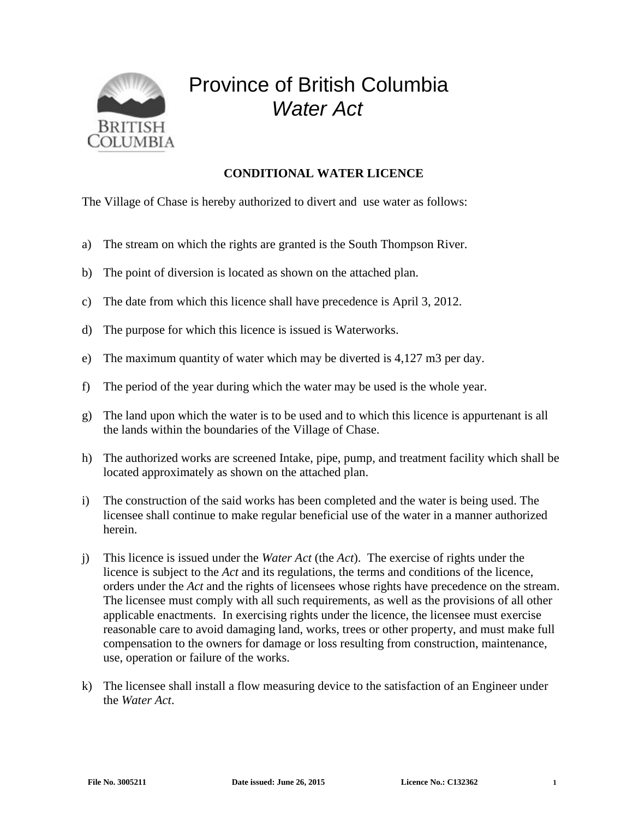

## Province of British Columbia *Water Act*

## **CONDITIONAL WATER LICENCE**

The Village of Chase is hereby authorized to divert and use water as follows:

- a) The stream on which the rights are granted is the South Thompson River.
- b) The point of diversion is located as shown on the attached plan.
- c) The date from which this licence shall have precedence is April 3, 2012.
- d) The purpose for which this licence is issued is Waterworks.
- e) The maximum quantity of water which may be diverted is 4,127 m3 per day.
- f) The period of the year during which the water may be used is the whole year.
- g) The land upon which the water is to be used and to which this licence is appurtenant is all the lands within the boundaries of the Village of Chase.
- h) The authorized works are screened Intake, pipe, pump, and treatment facility which shall be located approximately as shown on the attached plan.
- i) The construction of the said works has been completed and the water is being used. The licensee shall continue to make regular beneficial use of the water in a manner authorized herein.
- j) This licence is issued under the *Water Act* (the *Act*). The exercise of rights under the licence is subject to the *Act* and its regulations, the terms and conditions of the licence, orders under the *Act* and the rights of licensees whose rights have precedence on the stream. The licensee must comply with all such requirements, as well as the provisions of all other applicable enactments. In exercising rights under the licence, the licensee must exercise reasonable care to avoid damaging land, works, trees or other property, and must make full compensation to the owners for damage or loss resulting from construction, maintenance, use, operation or failure of the works.
- k) The licensee shall install a flow measuring device to the satisfaction of an Engineer under the *Water Act*.